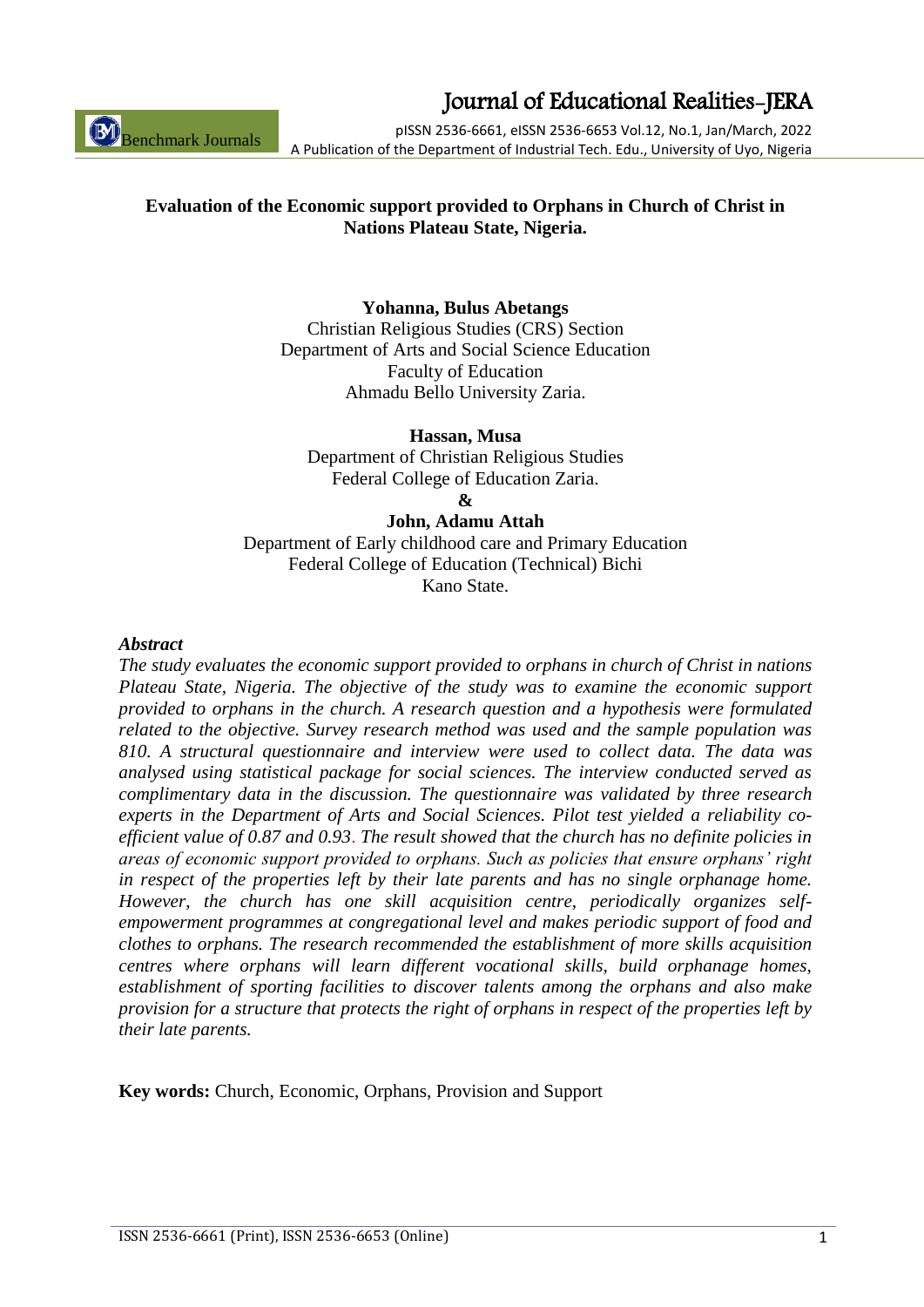Benchmark Journals

# Journal of Educational Realities-JERA

pISSN 2536-6661, eISSN 2536-6653 Vol.12, No.1, Jan/March, 2022 A Publication of the Department of Industrial Tech. Edu., University of Uyo, Nigeria

# **Evaluation of the Economic support provided to Orphans in Church of Christ in Nations Plateau State, Nigeria.**

### **Yohanna, Bulus Abetangs**

Christian Religious Studies (CRS) Section Department of Arts and Social Science Education Faculty of Education Ahmadu Bello University Zaria.

**Hassan, Musa**

Department of Christian Religious Studies Federal College of Education Zaria.

**&**

#### **John, Adamu Attah**

Department of Early childhood care and Primary Education Federal College of Education (Technical) Bichi Kano State.

#### *Abstract*

*The study evaluates the economic support provided to orphans in church of Christ in nations Plateau State, Nigeria. The objective of the study was to examine the economic support provided to orphans in the church. A research question and a hypothesis were formulated related to the objective. Survey research method was used and the sample population was 810. A structural questionnaire and interview were used to collect data. The data was analysed using statistical package for social sciences. The interview conducted served as complimentary data in the discussion. The questionnaire was validated by three research experts in the Department of Arts and Social Sciences. Pilot test yielded a reliability coefficient value of 0.87 and 0.93*. *The result showed that the church has no definite policies in areas of economic support provided to orphans. Such as policies that ensure orphans' right in respect of the properties left by their late parents and has no single orphanage home. However, the church has one skill acquisition centre, periodically organizes selfempowerment programmes at congregational level and makes periodic support of food and clothes to orphans. The research recommended the establishment of more skills acquisition centres where orphans will learn different vocational skills, build orphanage homes, establishment of sporting facilities to discover talents among the orphans and also make provision for a structure that protects the right of orphans in respect of the properties left by their late parents.*

**Key words:** Church, Economic, Orphans, Provision and Support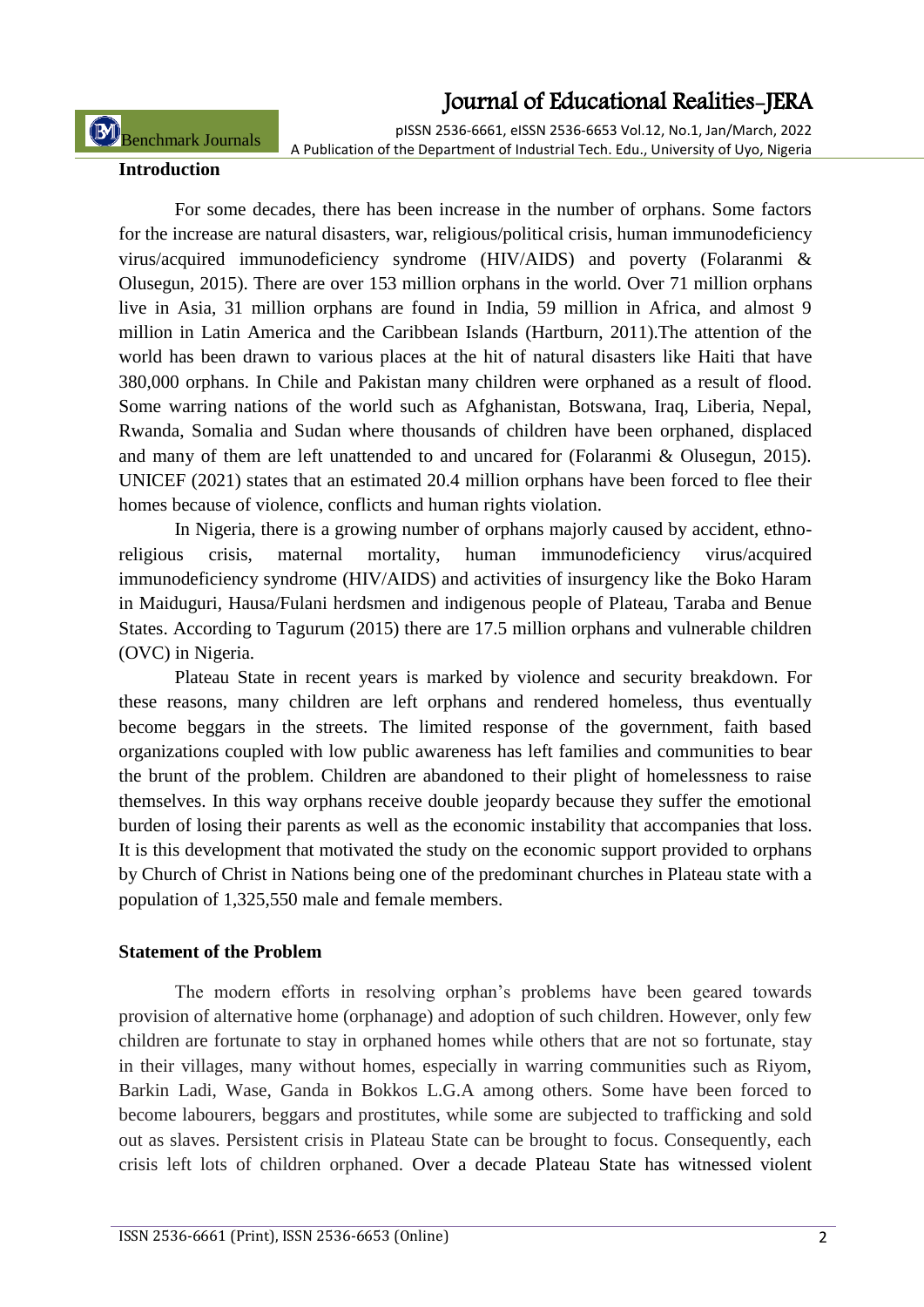pISSN 2536-6661, eISSN 2536-6653 Vol.12, No.1, Jan/March, 2022 A Publication of the Department of Industrial Tech. Edu., University of Uyo, Nigeria

Benchmark Journals

**Introduction**

For some decades, there has been increase in the number of orphans. Some factors for the increase are natural disasters, war, religious/political crisis, human immunodeficiency virus/acquired immunodeficiency syndrome (HIV/AIDS) and poverty (Folaranmi & Olusegun, 2015). There are over 153 million orphans in the world. Over 71 million orphans live in Asia, 31 million orphans are found in India, 59 million in Africa, and almost 9 million in Latin America and the Caribbean Islands (Hartburn, 2011).The attention of the world has been drawn to various places at the hit of natural disasters like Haiti that have 380,000 orphans. In Chile and Pakistan many children were orphaned as a result of flood. Some warring nations of the world such as Afghanistan, Botswana, Iraq, Liberia, Nepal, Rwanda, Somalia and Sudan where thousands of children have been orphaned, displaced and many of them are left unattended to and uncared for (Folaranmi & Olusegun, 2015). UNICEF (2021) states that an estimated 20.4 million orphans have been forced to flee their homes because of violence, conflicts and human rights violation.

In Nigeria, there is a growing number of orphans majorly caused by accident, ethnoreligious crisis, maternal mortality, human immunodeficiency virus/acquired immunodeficiency syndrome (HIV/AIDS) and activities of insurgency like the Boko Haram in Maiduguri, Hausa/Fulani herdsmen and indigenous people of Plateau, Taraba and Benue States. According to Tagurum (2015) there are 17.5 million orphans and vulnerable children (OVC) in Nigeria.

Plateau State in recent years is marked by violence and security breakdown. For these reasons, many children are left orphans and rendered homeless, thus eventually become beggars in the streets. The limited response of the government, faith based organizations coupled with low public awareness has left families and communities to bear the brunt of the problem. Children are abandoned to their plight of homelessness to raise themselves. In this way orphans receive double jeopardy because they suffer the emotional burden of losing their parents as well as the economic instability that accompanies that loss. It is this development that motivated the study on the economic support provided to orphans by Church of Christ in Nations being one of the predominant churches in Plateau state with a population of 1,325,550 male and female members.

### **Statement of the Problem**

The modern efforts in resolving orphan"s problems have been geared towards provision of alternative home (orphanage) and adoption of such children. However, only few children are fortunate to stay in orphaned homes while others that are not so fortunate, stay in their villages, many without homes, especially in warring communities such as Riyom, Barkin Ladi, Wase, Ganda in Bokkos L.G.A among others. Some have been forced to become labourers, beggars and prostitutes, while some are subjected to trafficking and sold out as slaves. Persistent crisis in Plateau State can be brought to focus. Consequently, each crisis left lots of children orphaned. Over a decade Plateau State has witnessed violent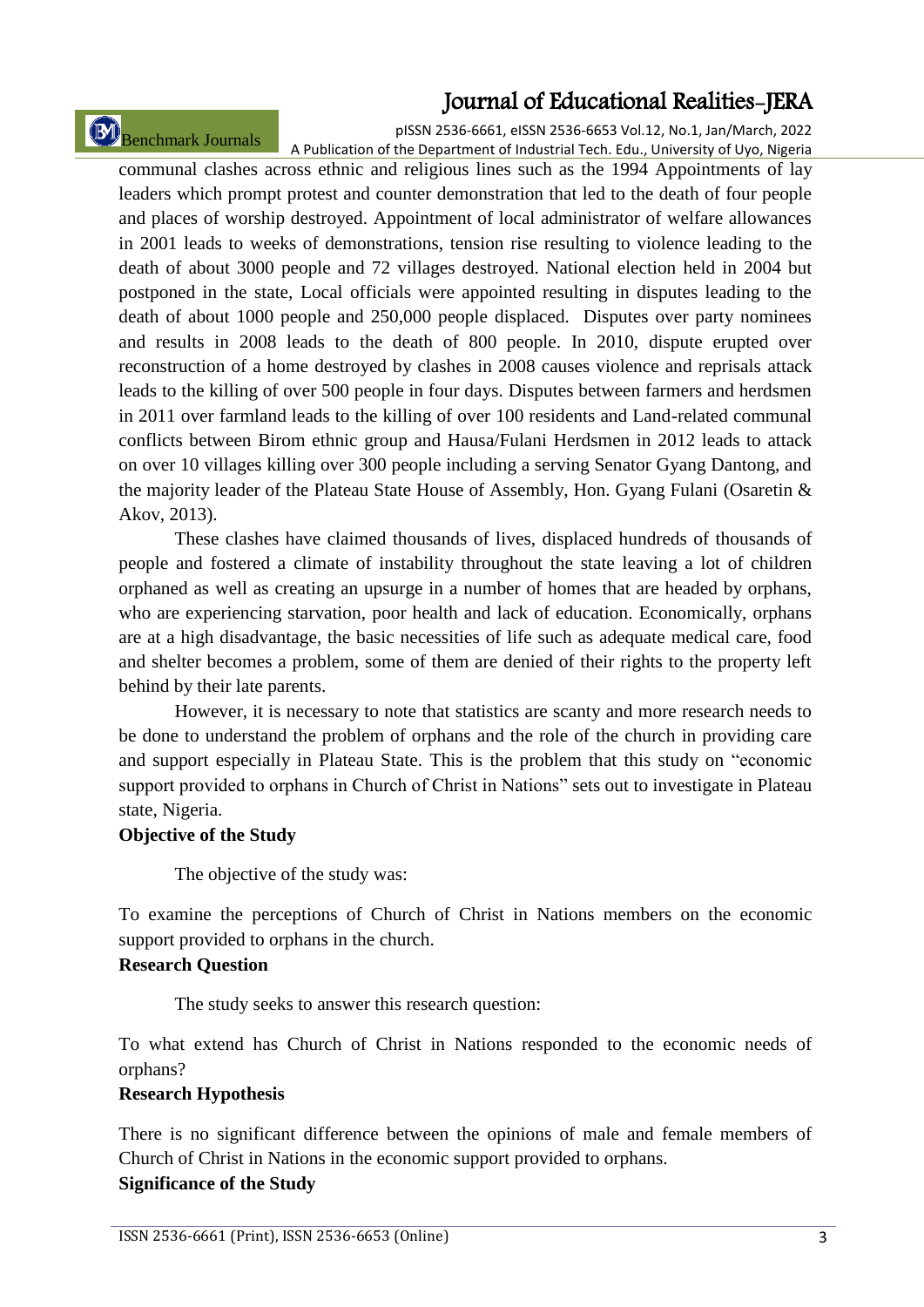Benchmark Journals

pISSN 2536-6661, eISSN 2536-6653 Vol.12, No.1, Jan/March, 2022 A Publication of the Department of Industrial Tech. Edu., University of Uyo, Nigeria

communal clashes across ethnic and religious lines such as the 1994 Appointments of lay leaders which prompt protest and counter demonstration that led to the death of four people and places of worship destroyed. Appointment of local administrator of welfare allowances in 2001 leads to weeks of demonstrations, tension rise resulting to violence leading to the death of about 3000 people and 72 villages destroyed. National election held in 2004 but postponed in the state, Local officials were appointed resulting in disputes leading to the death of about 1000 people and 250,000 people displaced. Disputes over party nominees and results in 2008 leads to the death of 800 people. In 2010, dispute erupted over reconstruction of a home destroyed by clashes in 2008 causes violence and reprisals attack leads to the killing of over 500 people in four days. Disputes between farmers and herdsmen in 2011 over farmland leads to the killing of over 100 residents and Land-related communal conflicts between Birom ethnic group and Hausa/Fulani Herdsmen in 2012 leads to attack on over 10 villages killing over 300 people including a serving Senator Gyang Dantong, and the majority leader of the Plateau State House of Assembly, Hon. Gyang Fulani (Osaretin & Akov, 2013).

These clashes have claimed thousands of lives, displaced hundreds of thousands of people and fostered a climate of instability throughout the state leaving a lot of children orphaned as well as creating an upsurge in a number of homes that are headed by orphans, who are experiencing starvation, poor health and lack of education. Economically, orphans are at a high disadvantage, the basic necessities of life such as adequate medical care, food and shelter becomes a problem, some of them are denied of their rights to the property left behind by their late parents.

However, it is necessary to note that statistics are scanty and more research needs to be done to understand the problem of orphans and the role of the church in providing care and support especially in Plateau State. This is the problem that this study on "economic support provided to orphans in Church of Christ in Nations" sets out to investigate in Plateau state, Nigeria.

### **Objective of the Study**

The objective of the study was:

To examine the perceptions of Church of Christ in Nations members on the economic support provided to orphans in the church.

### **Research Question**

The study seeks to answer this research question:

To what extend has Church of Christ in Nations responded to the economic needs of orphans?

### **Research Hypothesis**

There is no significant difference between the opinions of male and female members of Church of Christ in Nations in the economic support provided to orphans.

### **Significance of the Study**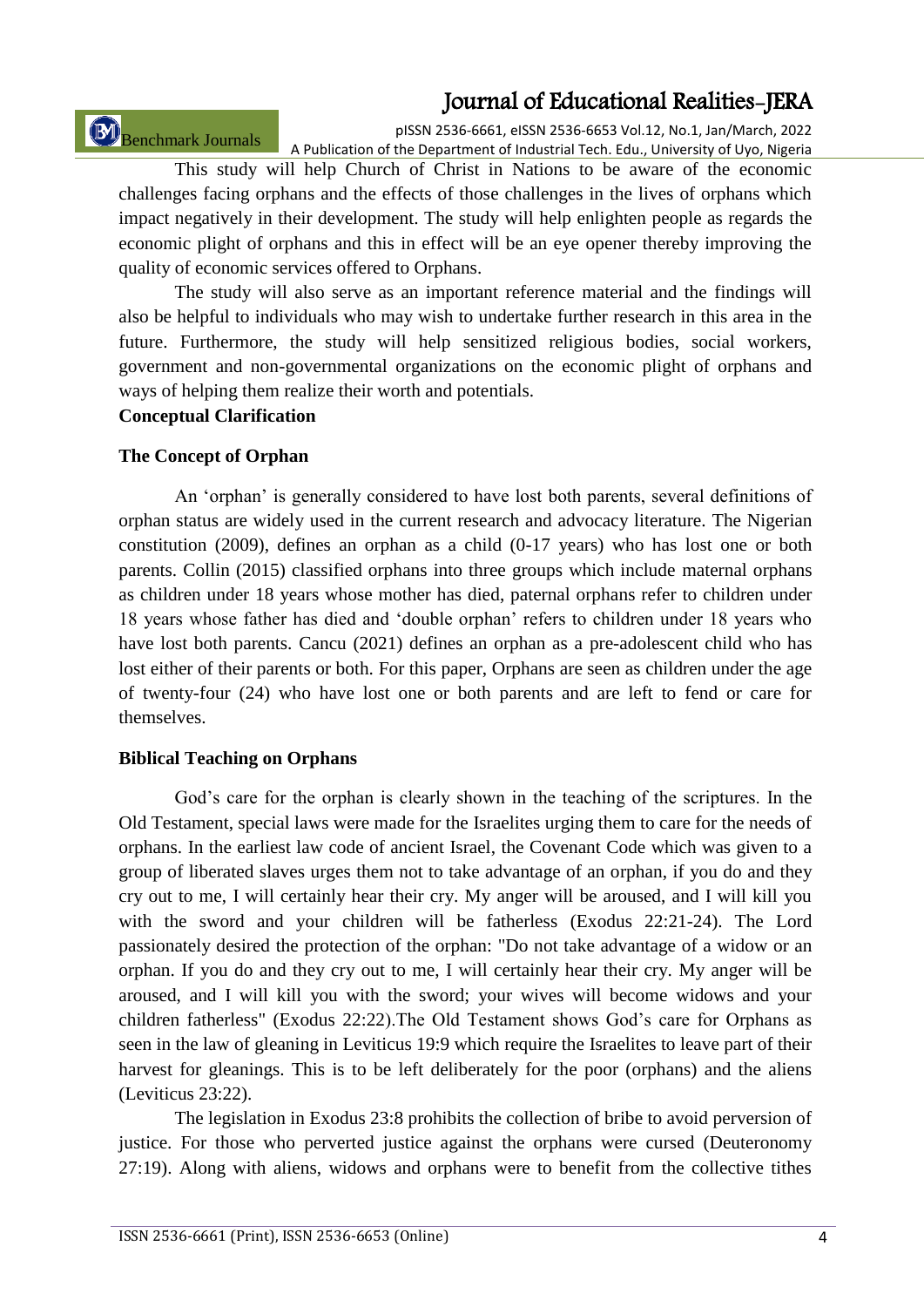Benchmark Journals

pISSN 2536-6661, eISSN 2536-6653 Vol.12, No.1, Jan/March, 2022 A Publication of the Department of Industrial Tech. Edu., University of Uyo, Nigeria

This study will help Church of Christ in Nations to be aware of the economic challenges facing orphans and the effects of those challenges in the lives of orphans which impact negatively in their development. The study will help enlighten people as regards the economic plight of orphans and this in effect will be an eye opener thereby improving the quality of economic services offered to Orphans.

The study will also serve as an important reference material and the findings will also be helpful to individuals who may wish to undertake further research in this area in the future. Furthermore, the study will help sensitized religious bodies, social workers, government and non-governmental organizations on the economic plight of orphans and ways of helping them realize their worth and potentials.

#### **Conceptual Clarification**

#### **The Concept of Orphan**

An "orphan" is generally considered to have lost both parents, several definitions of orphan status are widely used in the current research and advocacy literature. The Nigerian constitution (2009), defines an orphan as a child (0-17 years) who has lost one or both parents. Collin (2015) classified orphans into three groups which include maternal orphans as children under 18 years whose mother has died, paternal orphans refer to children under 18 years whose father has died and "double orphan" refers to children under 18 years who have lost both parents. Cancu (2021) defines an orphan as a pre-adolescent child who has lost either of their parents or both. For this paper, Orphans are seen as children under the age of twenty-four (24) who have lost one or both parents and are left to fend or care for themselves.

#### **Biblical Teaching on Orphans**

God's care for the orphan is clearly shown in the teaching of the scriptures. In the Old Testament, special laws were made for the Israelites urging them to care for the needs of orphans. In the earliest law code of ancient Israel, the Covenant Code which was given to a group of liberated slaves urges them not to take advantage of an orphan, if you do and they cry out to me, I will certainly hear their cry. My anger will be aroused, and I will kill you with the sword and your children will be fatherless (Exodus 22:21-24). The Lord passionately desired the protection of the orphan: "Do not take advantage of a widow or an orphan. If you do and they cry out to me, I will certainly hear their cry. My anger will be aroused, and I will kill you with the sword; your wives will become widows and your children fatherless" (Exodus [22:22\)](http://www.biblestudytools.com/exodus/22-22.html).The Old Testament shows God"s care for Orphans as seen in the law of gleaning in Leviticus 19:9 which require the Israelites to leave part of their harvest for gleanings. This is to be left deliberately for the poor (orphans) and the aliens (Leviticus 23:22).

The legislation in Exodus 23:8 prohibits the collection of bribe to avoid perversion of justice. For those who perverted justice against the orphans were cursed (Deuteronomy 27:19). Along with aliens, widows and orphans were to benefit from the collective tithes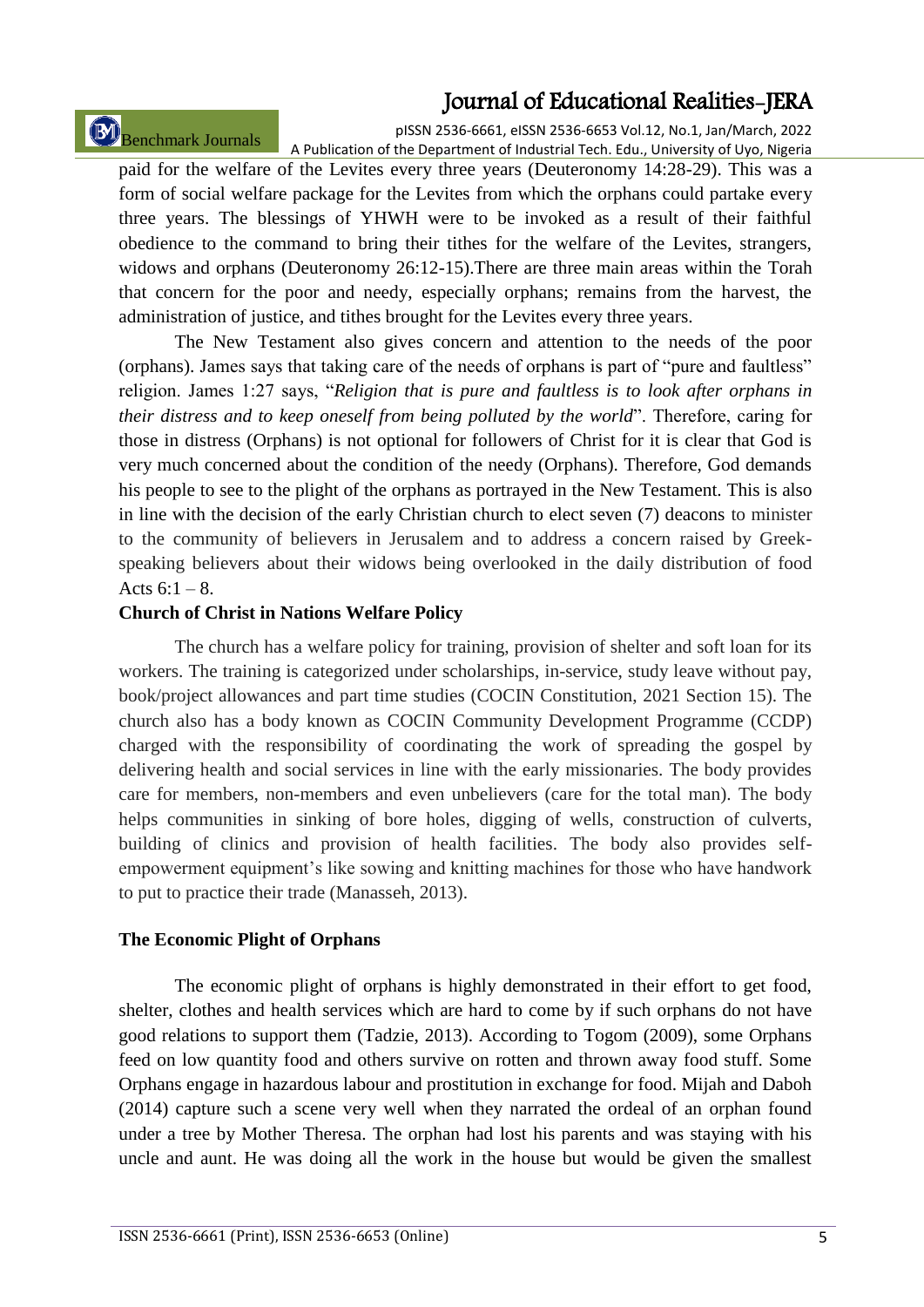# Benchmark Journals

pISSN 2536-6661, eISSN 2536-6653 Vol.12, No.1, Jan/March, 2022 A Publication of the Department of Industrial Tech. Edu., University of Uyo, Nigeria

paid for the welfare of the Levites every three years (Deuteronomy 14:28-29). This was a form of social welfare package for the Levites from which the orphans could partake every three years. The blessings of YHWH were to be invoked as a result of their faithful obedience to the command to bring their tithes for the welfare of the Levites, strangers, widows and orphans (Deuteronomy 26:12-15).There are three main areas within the Torah that concern for the poor and needy, especially orphans; remains from the harvest, the administration of justice, and tithes brought for the Levites every three years.

The New Testament also gives concern and attention to the needs of the poor (orphans). James says that taking care of the needs of orphans is part of "pure and faultless" religion. James 1:27 says, "*Religion that is pure and faultless is to look after orphans in their distress and to keep oneself from being polluted by the world*". Therefore, caring for those in distress (Orphans) is not optional for followers of Christ for it is clear that God is very much concerned about the condition of the needy (Orphans). Therefore, God demands his people to see to the plight of the orphans as portrayed in the New Testament. This is also in line with the decision of the early Christian church to elect seven (7) deacons to minister to the community of believers in Jerusalem and to address a concern raised by Greekspeaking believers about their widows being overlooked in the daily distribution of food Acts  $6:1 - 8$ .

### **Church of Christ in Nations Welfare Policy**

The church has a welfare policy for training, provision of shelter and soft loan for its workers. The training is categorized under scholarships, in-service, study leave without pay, book/project allowances and part time studies (COCIN Constitution, 2021 Section 15). The church also has a body known as COCIN Community Development Programme (CCDP) charged with the responsibility of coordinating the work of spreading the gospel by delivering health and social services in line with the early missionaries. The body provides care for members, non-members and even unbelievers (care for the total man). The body helps communities in sinking of bore holes, digging of wells, construction of culverts, building of clinics and provision of health facilities. The body also provides selfempowerment equipment"s like sowing and knitting machines for those who have handwork to put to practice their trade (Manasseh, 2013).

#### **The Economic Plight of Orphans**

The economic plight of orphans is highly demonstrated in their effort to get food, shelter, clothes and health services which are hard to come by if such orphans do not have good relations to support them (Tadzie, 2013). According to Togom (2009), some Orphans feed on low quantity food and others survive on rotten and thrown away food stuff. Some Orphans engage in hazardous labour and prostitution in exchange for food. Mijah and Daboh (2014) capture such a scene very well when they narrated the ordeal of an orphan found under a tree by Mother Theresa. The orphan had lost his parents and was staying with his uncle and aunt. He was doing all the work in the house but would be given the smallest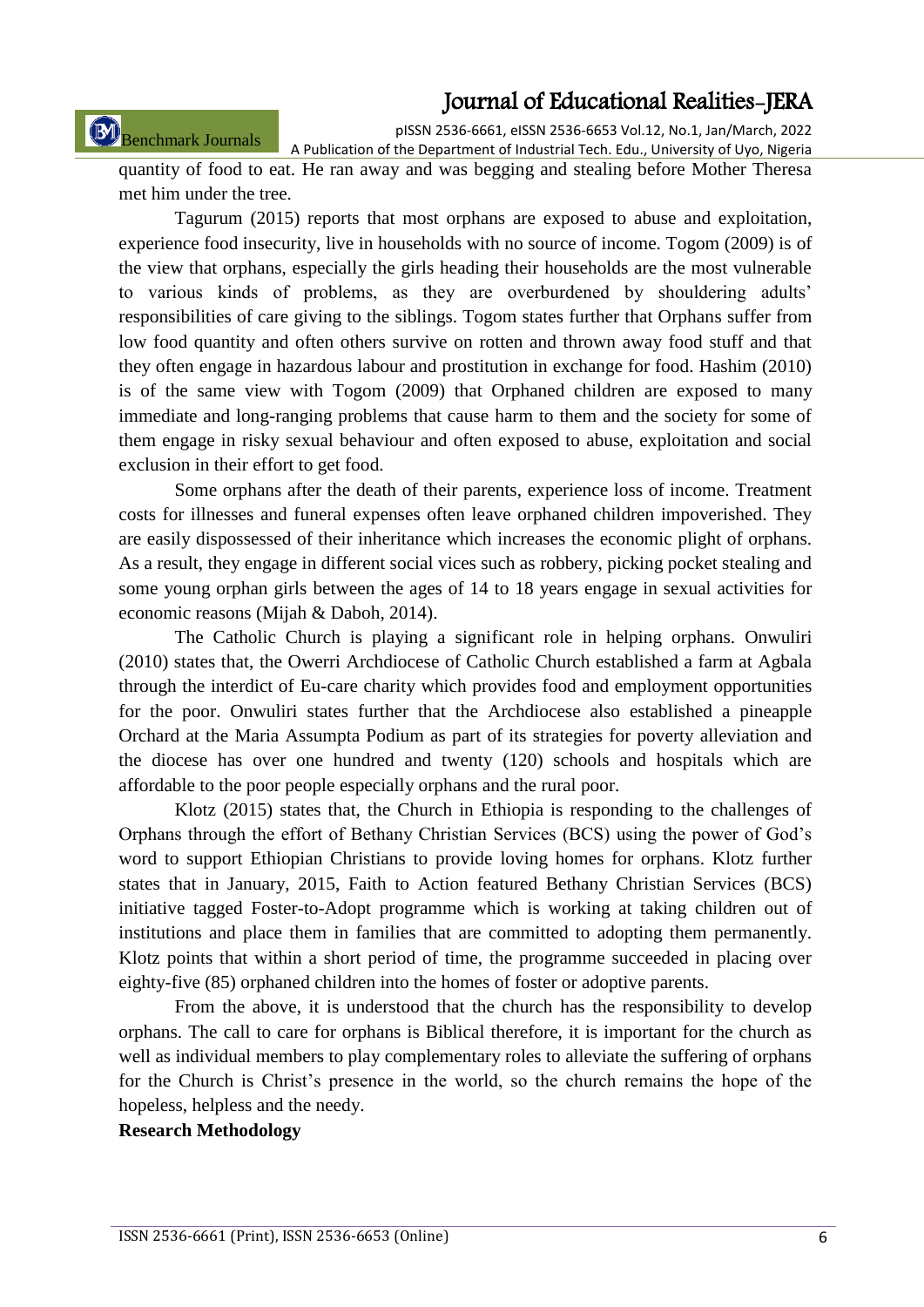pISSN 2536-6661, eISSN 2536-6653 Vol.12, No.1, Jan/March, 2022

Benchmark Journals

A Publication of the Department of Industrial Tech. Edu., University of Uyo, Nigeria quantity of food to eat. He ran away and was begging and stealing before Mother Theresa met him under the tree.

Tagurum (2015) reports that most orphans are exposed to abuse and exploitation, experience food insecurity, live in households with no source of income. Togom (2009) is of the view that orphans, especially the girls heading their households are the most vulnerable to various kinds of problems, as they are overburdened by shouldering adults" responsibilities of care giving to the siblings. Togom states further that Orphans suffer from low food quantity and often others survive on rotten and thrown away food stuff and that they often engage in hazardous labour and prostitution in exchange for food. Hashim (2010) is of the same view with Togom (2009) that Orphaned children are exposed to many immediate and long-ranging problems that cause harm to them and the society for some of them engage in risky sexual behaviour and often exposed to abuse, exploitation and social exclusion in their effort to get food.

Some orphans after the death of their parents, experience loss of income. Treatment costs for illnesses and funeral expenses often leave orphaned children impoverished. They are easily dispossessed of their inheritance which increases the economic plight of orphans. As a result, they engage in different social vices such as robbery, picking pocket stealing and some young orphan girls between the ages of 14 to 18 years engage in sexual activities for economic reasons (Mijah & Daboh, 2014).

The Catholic Church is playing a significant role in helping orphans. Onwuliri (2010) states that, the Owerri Archdiocese of Catholic Church established a farm at Agbala through the interdict of Eu-care charity which provides food and employment opportunities for the poor. Onwuliri states further that the Archdiocese also established a pineapple Orchard at the Maria Assumpta Podium as part of its strategies for poverty alleviation and the diocese has over one hundred and twenty (120) schools and hospitals which are affordable to the poor people especially orphans and the rural poor.

Klotz (2015) states that, the Church in Ethiopia is responding to the challenges of Orphans through the effort of Bethany Christian Services (BCS) using the power of God"s word to support Ethiopian Christians to provide loving homes for orphans. Klotz further states that in January, 2015, Faith to Action featured Bethany Christian Services (BCS) initiative tagged Foster-to-Adopt programme which is working at taking children out of institutions and place them in families that are committed to adopting them permanently. Klotz points that within a short period of time, the programme succeeded in placing over eighty-five (85) orphaned children into the homes of foster or adoptive parents.

From the above, it is understood that the church has the responsibility to develop orphans. The call to care for orphans is Biblical therefore, it is important for the church as well as individual members to play complementary roles to alleviate the suffering of orphans for the Church is Christ"s presence in the world, so the church remains the hope of the hopeless, helpless and the needy.

#### **Research Methodology**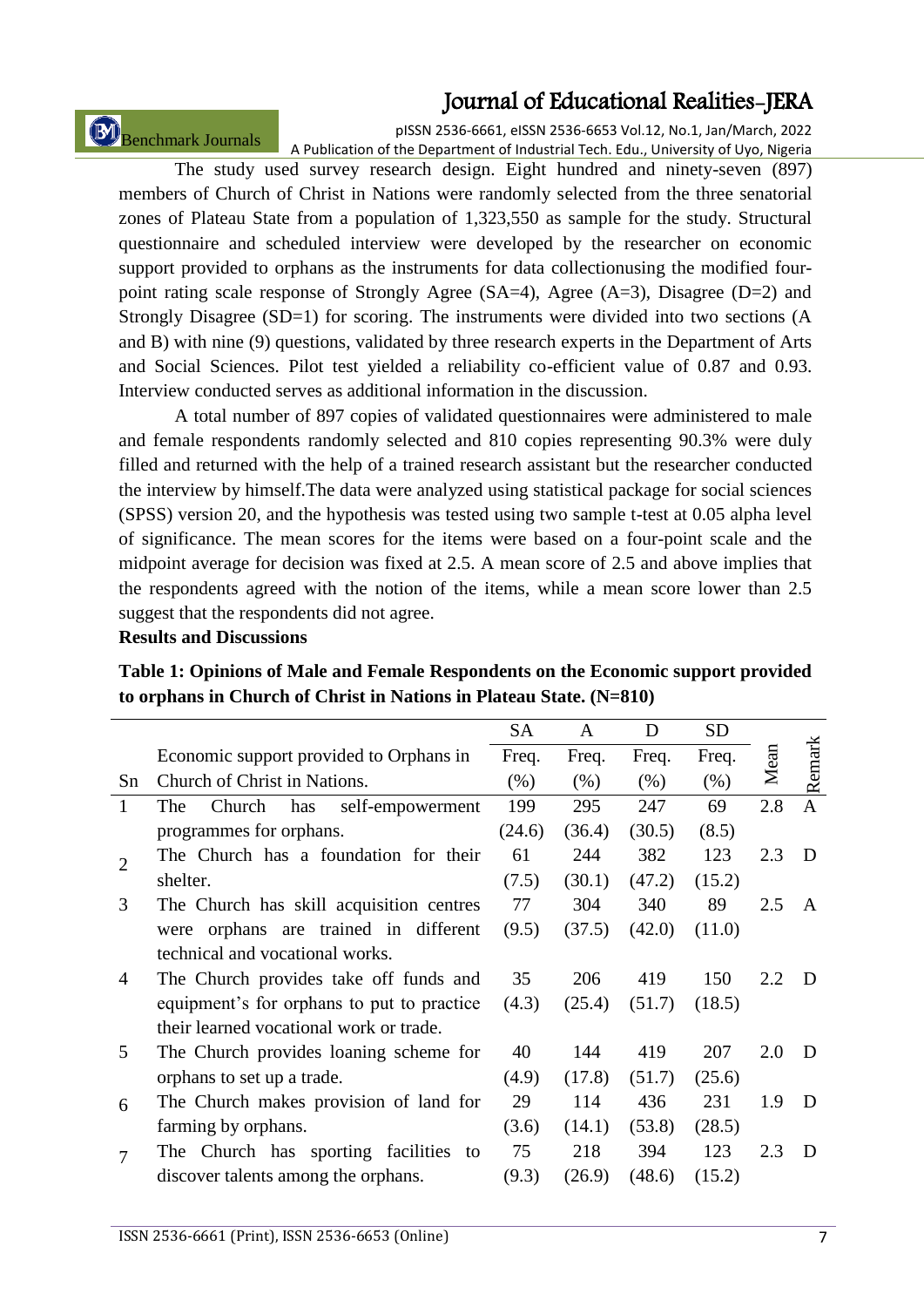Benchmark Journals

pISSN 2536-6661, eISSN 2536-6653 Vol.12, No.1, Jan/March, 2022 A Publication of the Department of Industrial Tech. Edu., University of Uyo, Nigeria

The study used survey research design. Eight hundred and ninety-seven (897) members of Church of Christ in Nations were randomly selected from the three senatorial zones of Plateau State from a population of 1,323,550 as sample for the study. Structural questionnaire and scheduled interview were developed by the researcher on economic support provided to orphans as the instruments for data collectionusing the modified fourpoint rating scale response of Strongly Agree (SA=4), Agree (A=3), Disagree (D=2) and Strongly Disagree (SD=1) for scoring. The instruments were divided into two sections (A and B) with nine (9) questions, validated by three research experts in the Department of Arts and Social Sciences. Pilot test yielded a reliability co-efficient value of 0.87 and 0.93. Interview conducted serves as additional information in the discussion.

A total number of 897 copies of validated questionnaires were administered to male and female respondents randomly selected and 810 copies representing 90.3% were duly filled and returned with the help of a trained research assistant but the researcher conducted the interview by himself.The data were analyzed using statistical package for social sciences (SPSS) version 20, and the hypothesis was tested using two sample t-test at 0.05 alpha level of significance. The mean scores for the items were based on a four-point scale and the midpoint average for decision was fixed at 2.5. A mean score of 2.5 and above implies that the respondents agreed with the notion of the items, while a mean score lower than 2.5 suggest that the respondents did not agree.

### **Results and Discussions**

|                                            | <b>SA</b> | A      | D      | <b>SD</b> |     |                |
|--------------------------------------------|-----------|--------|--------|-----------|-----|----------------|
| Economic support provided to Orphans in    | Freq.     | Freq.  | Freq.  | Freq.     |     | Remark         |
| Church of Christ in Nations.               | (% )      | (% )   | (% )   | (% )      |     |                |
| self-empowerment<br>Church<br>has<br>The   | 199       | 295    | 247    | 69        | 2.8 | $\overline{A}$ |
| programmes for orphans.                    | (24.6)    | (36.4) | (30.5) | (8.5)     |     |                |
| The Church has a foundation for their      | 61        | 244    | 382    | 123       | 2.3 | D              |
| shelter.                                   | (7.5)     | (30.1) | (47.2) | (15.2)    |     |                |
| The Church has skill acquisition centres   | 77        | 304    | 340    | 89        | 2.5 | A              |
| were orphans are trained in different      | (9.5)     | (37.5) | (42.0) | (11.0)    |     |                |
| technical and vocational works.            |           |        |        |           |     |                |
| The Church provides take off funds and     | 35        | 206    | 419    | 150       | 2.2 | D              |
| equipment's for orphans to put to practice | (4.3)     | (25.4) | (51.7) | (18.5)    |     |                |
| their learned vocational work or trade.    |           |        |        |           |     |                |
| The Church provides loaning scheme for     | 40        | 144    | 419    | 207       | 2.0 | D              |
| orphans to set up a trade.                 | (4.9)     | (17.8) | (51.7) | (25.6)    |     |                |
| The Church makes provision of land for     | 29        | 114    | 436    | 231       | 1.9 | D              |
| farming by orphans.                        | (3.6)     | (14.1) | (53.8) | (28.5)    |     |                |
| The Church has sporting facilities to      | 75        | 218    | 394    | 123       | 2.3 | D              |
| discover talents among the orphans.        | (9.3)     | (26.9) | (48.6) | (15.2)    |     |                |
|                                            |           |        |        |           |     | Mean           |

# **Table 1: Opinions of Male and Female Respondents on the Economic support provided to orphans in Church of Christ in Nations in Plateau State. (N=810)**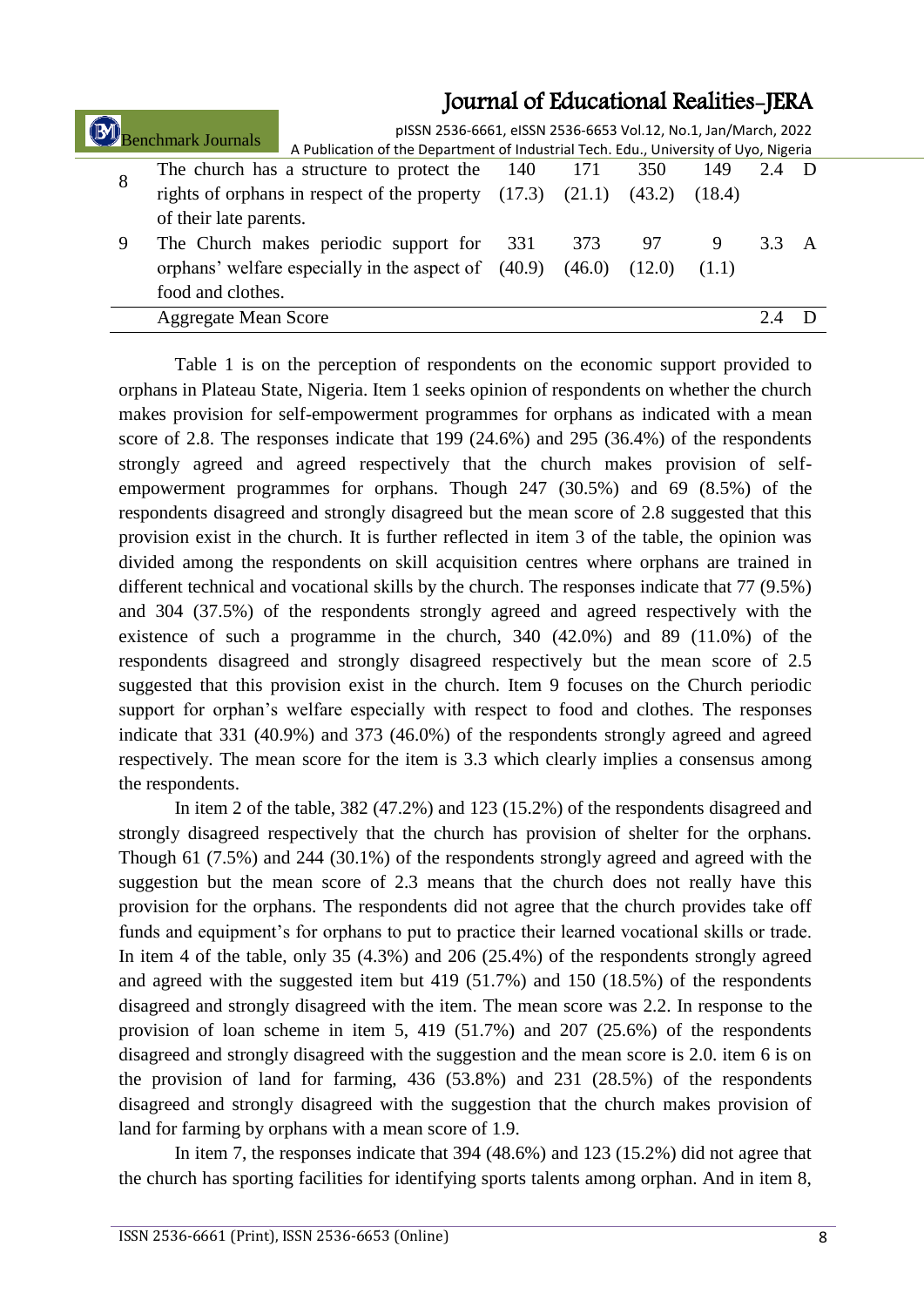|   | Benchmark Journals                                                                 | pISSN 2536-6661, eISSN 2536-6653 Vol.12, No.1, Jan/March, 2022<br>A Publication of the Department of Industrial Tech. Edu., University of Uyo, Nigeria |     |        |        |       |  |  |
|---|------------------------------------------------------------------------------------|--------------------------------------------------------------------------------------------------------------------------------------------------------|-----|--------|--------|-------|--|--|
| 8 |                                                                                    | The church has a structure to protect the 140                                                                                                          |     |        | 350    | 149   |  |  |
|   | rights of orphans in respect of the property $(17.3)$ $(21.1)$<br>(43.2)<br>(18.4) |                                                                                                                                                        |     |        |        |       |  |  |
|   | of their late parents.                                                             |                                                                                                                                                        |     |        |        |       |  |  |
| 9 |                                                                                    | The Church makes periodic support for                                                                                                                  | 331 | 373    | 97     |       |  |  |
|   |                                                                                    | orphans' welfare especially in the aspect of (40.9)                                                                                                    |     | (46.0) | (12.0) | (1.1) |  |  |
|   | food and clothes.                                                                  |                                                                                                                                                        |     |        |        |       |  |  |
|   | <b>Aggregate Mean Score</b>                                                        |                                                                                                                                                        |     |        |        |       |  |  |

Table 1 is on the perception of respondents on the economic support provided to orphans in Plateau State, Nigeria. Item 1 seeks opinion of respondents on whether the church makes provision for self-empowerment programmes for orphans as indicated with a mean score of 2.8. The responses indicate that 199 (24.6%) and 295 (36.4%) of the respondents strongly agreed and agreed respectively that the church makes provision of selfempowerment programmes for orphans. Though 247 (30.5%) and 69 (8.5%) of the respondents disagreed and strongly disagreed but the mean score of 2.8 suggested that this provision exist in the church. It is further reflected in item 3 of the table, the opinion was divided among the respondents on skill acquisition centres where orphans are trained in different technical and vocational skills by the church. The responses indicate that 77 (9.5%) and 304 (37.5%) of the respondents strongly agreed and agreed respectively with the existence of such a programme in the church, 340 (42.0%) and 89 (11.0%) of the respondents disagreed and strongly disagreed respectively but the mean score of 2.5 suggested that this provision exist in the church. Item 9 focuses on the Church periodic support for orphan"s welfare especially with respect to food and clothes. The responses indicate that 331 (40.9%) and 373 (46.0%) of the respondents strongly agreed and agreed respectively. The mean score for the item is 3.3 which clearly implies a consensus among the respondents.

In item 2 of the table, 382 (47.2%) and 123 (15.2%) of the respondents disagreed and strongly disagreed respectively that the church has provision of shelter for the orphans. Though 61 (7.5%) and 244 (30.1%) of the respondents strongly agreed and agreed with the suggestion but the mean score of 2.3 means that the church does not really have this provision for the orphans. The respondents did not agree that the church provides take off funds and equipment's for orphans to put to practice their learned vocational skills or trade. In item 4 of the table, only 35 (4.3%) and 206 (25.4%) of the respondents strongly agreed and agreed with the suggested item but 419 (51.7%) and 150 (18.5%) of the respondents disagreed and strongly disagreed with the item. The mean score was 2.2. In response to the provision of loan scheme in item 5, 419 (51.7%) and 207 (25.6%) of the respondents disagreed and strongly disagreed with the suggestion and the mean score is 2.0. item 6 is on the provision of land for farming, 436 (53.8%) and 231 (28.5%) of the respondents disagreed and strongly disagreed with the suggestion that the church makes provision of land for farming by orphans with a mean score of 1.9.

In item 7, the responses indicate that 394 (48.6%) and 123 (15.2%) did not agree that the church has sporting facilities for identifying sports talents among orphan. And in item 8,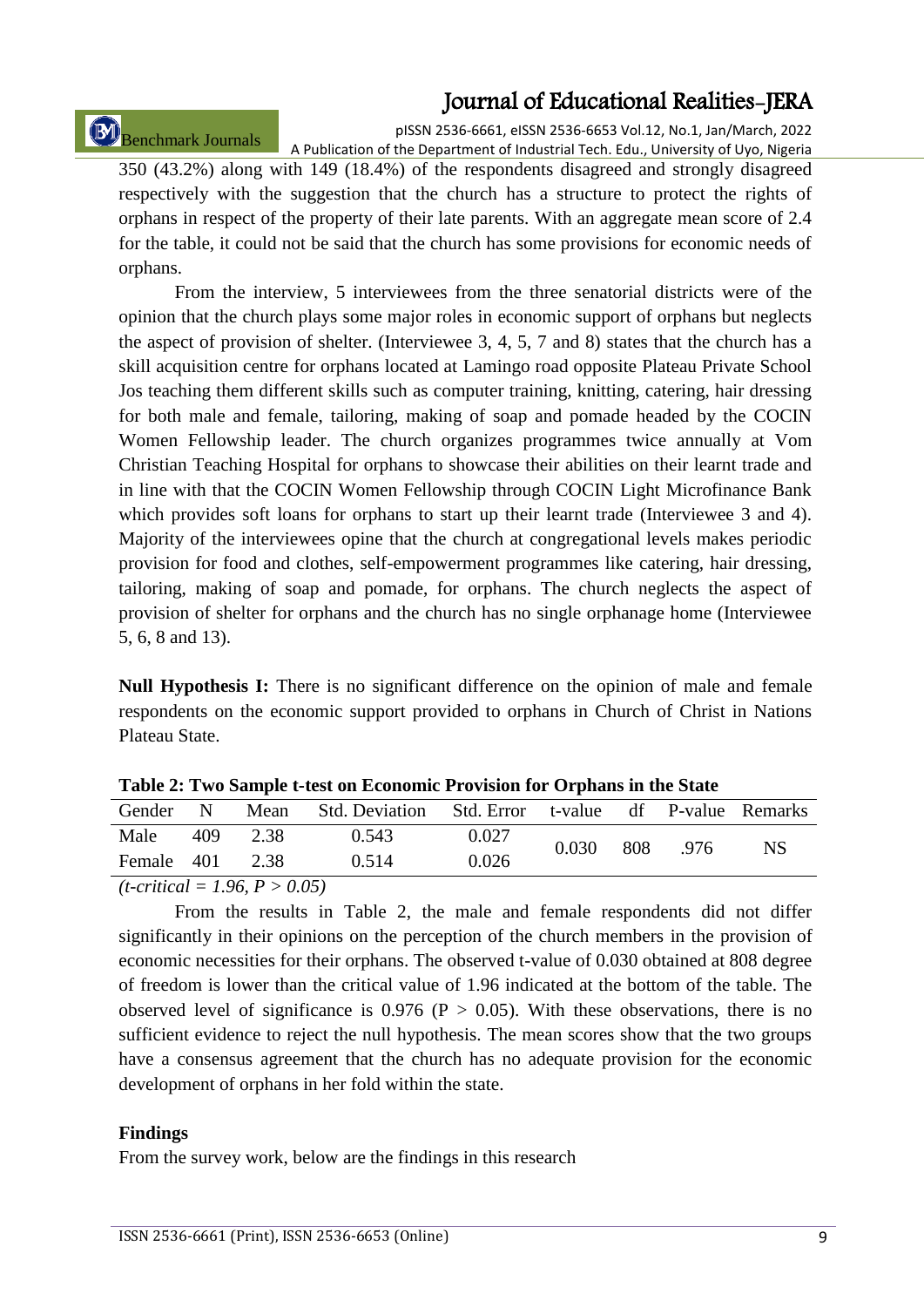# Benchmark Journals

pISSN 2536-6661, eISSN 2536-6653 Vol.12, No.1, Jan/March, 2022 A Publication of the Department of Industrial Tech. Edu., University of Uyo, Nigeria

350 (43.2%) along with 149 (18.4%) of the respondents disagreed and strongly disagreed respectively with the suggestion that the church has a structure to protect the rights of orphans in respect of the property of their late parents. With an aggregate mean score of 2.4 for the table, it could not be said that the church has some provisions for economic needs of orphans.

From the interview, 5 interviewees from the three senatorial districts were of the opinion that the church plays some major roles in economic support of orphans but neglects the aspect of provision of shelter. (Interviewee 3, 4, 5, 7 and 8) states that the church has a skill acquisition centre for orphans located at Lamingo road opposite Plateau Private School Jos teaching them different skills such as computer training, knitting, catering, hair dressing for both male and female, tailoring, making of soap and pomade headed by the COCIN Women Fellowship leader. The church organizes programmes twice annually at Vom Christian Teaching Hospital for orphans to showcase their abilities on their learnt trade and in line with that the COCIN Women Fellowship through COCIN Light Microfinance Bank which provides soft loans for orphans to start up their learnt trade (Interviewee 3 and 4). Majority of the interviewees opine that the church at congregational levels makes periodic provision for food and clothes, self-empowerment programmes like catering, hair dressing, tailoring, making of soap and pomade, for orphans. The church neglects the aspect of provision of shelter for orphans and the church has no single orphanage home (Interviewee 5, 6, 8 and 13).

**Null Hypothesis I:** There is no significant difference on the opinion of male and female respondents on the economic support provided to orphans in Church of Christ in Nations Plateau State.

| Gender                                 | N   | Mean | Std. Deviation Std. Error t-value df P-value Remarks |       |       |     |      |     |
|----------------------------------------|-----|------|------------------------------------------------------|-------|-------|-----|------|-----|
| Male                                   | 409 | 2.38 | 0.543                                                | 0.027 | 0.030 | 808 | .976 | NS. |
| Female 401 2.38                        |     |      | 0.514                                                | 0.026 |       |     |      |     |
| $(t\text{-}critical = 1.96, P > 0.05)$ |     |      |                                                      |       |       |     |      |     |

**Table 2: Two Sample t-test on Economic Provision for Orphans in the State** 

From the results in Table 2, the male and female respondents did not differ significantly in their opinions on the perception of the church members in the provision of economic necessities for their orphans. The observed t-value of 0.030 obtained at 808 degree of freedom is lower than the critical value of 1.96 indicated at the bottom of the table. The observed level of significance is  $0.976$  (P  $> 0.05$ ). With these observations, there is no sufficient evidence to reject the null hypothesis. The mean scores show that the two groups have a consensus agreement that the church has no adequate provision for the economic development of orphans in her fold within the state.

### **Findings**

From the survey work, below are the findings in this research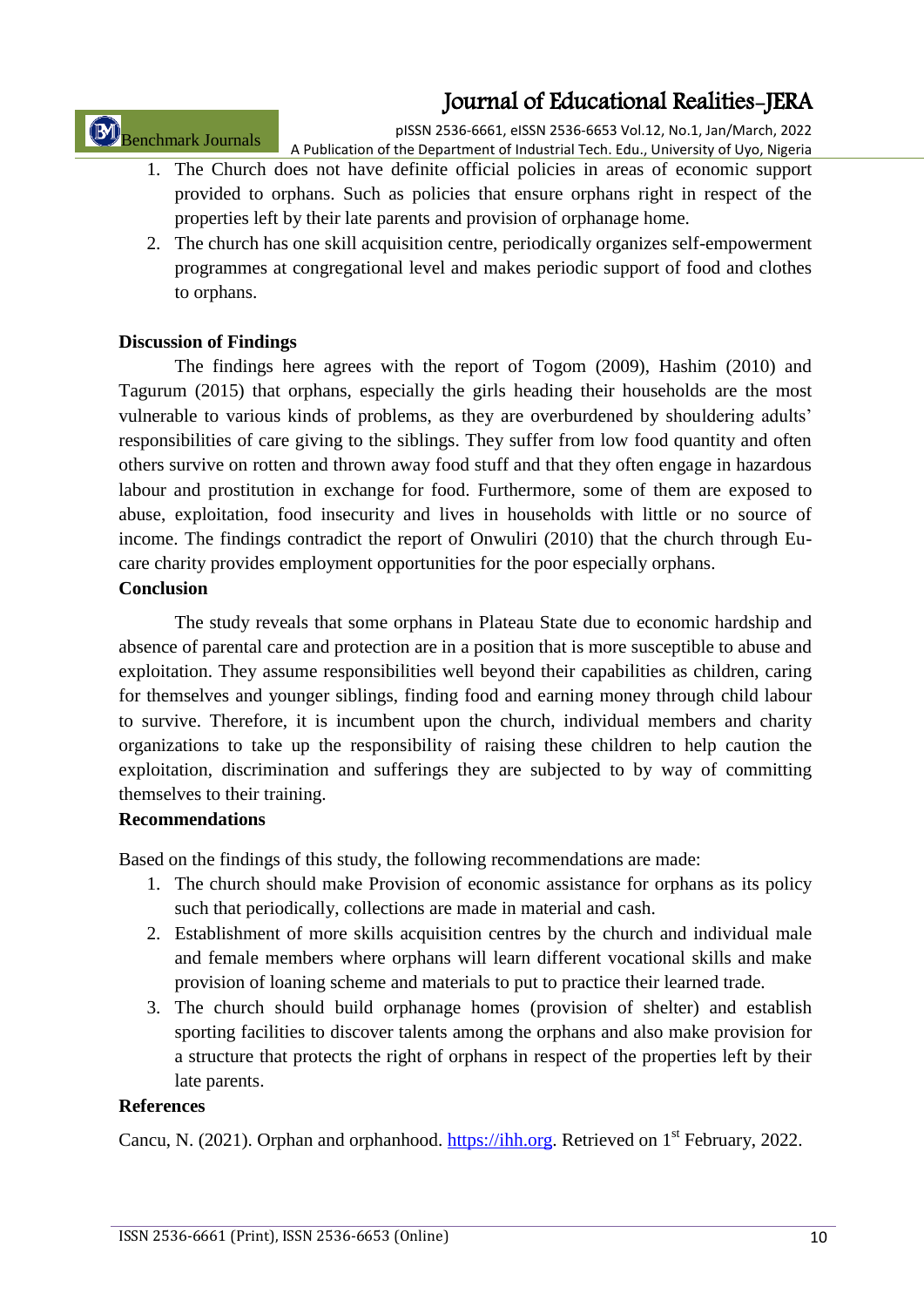Benchmark Journals

pISSN 2536-6661, eISSN 2536-6653 Vol.12, No.1, Jan/March, 2022 A Publication of the Department of Industrial Tech. Edu., University of Uyo, Nigeria

- 1. The Church does not have definite official policies in areas of economic support provided to orphans. Such as policies that ensure orphans right in respect of the properties left by their late parents and provision of orphanage home.
- 2. The church has one skill acquisition centre, periodically organizes self-empowerment programmes at congregational level and makes periodic support of food and clothes to orphans.

# **Discussion of Findings**

The findings here agrees with the report of Togom (2009), Hashim (2010) and Tagurum (2015) that orphans, especially the girls heading their households are the most vulnerable to various kinds of problems, as they are overburdened by shouldering adults' responsibilities of care giving to the siblings. They suffer from low food quantity and often others survive on rotten and thrown away food stuff and that they often engage in hazardous labour and prostitution in exchange for food. Furthermore, some of them are exposed to abuse, exploitation, food insecurity and lives in households with little or no source of income. The findings contradict the report of Onwuliri (2010) that the church through Eucare charity provides employment opportunities for the poor especially orphans.

# **Conclusion**

The study reveals that some orphans in Plateau State due to economic hardship and absence of parental care and protection are in a position that is more susceptible to abuse and exploitation. They assume responsibilities well beyond their capabilities as children, caring for themselves and younger siblings, finding food and earning money through child labour to survive. Therefore, it is incumbent upon the church, individual members and charity organizations to take up the responsibility of raising these children to help caution the exploitation, discrimination and sufferings they are subjected to by way of committing themselves to their training.

### **Recommendations**

Based on the findings of this study, the following recommendations are made:

- 1. The church should make Provision of economic assistance for orphans as its policy such that periodically, collections are made in material and cash.
- 2. Establishment of more skills acquisition centres by the church and individual male and female members where orphans will learn different vocational skills and make provision of loaning scheme and materials to put to practice their learned trade.
- 3. The church should build orphanage homes (provision of shelter) and establish sporting facilities to discover talents among the orphans and also make provision for a structure that protects the right of orphans in respect of the properties left by their late parents.

### **References**

Cancu, N. (2021). Orphan and orphanhood. [https://ihh.org.](https://ihh.org/) Retrieved on 1<sup>st</sup> February, 2022.